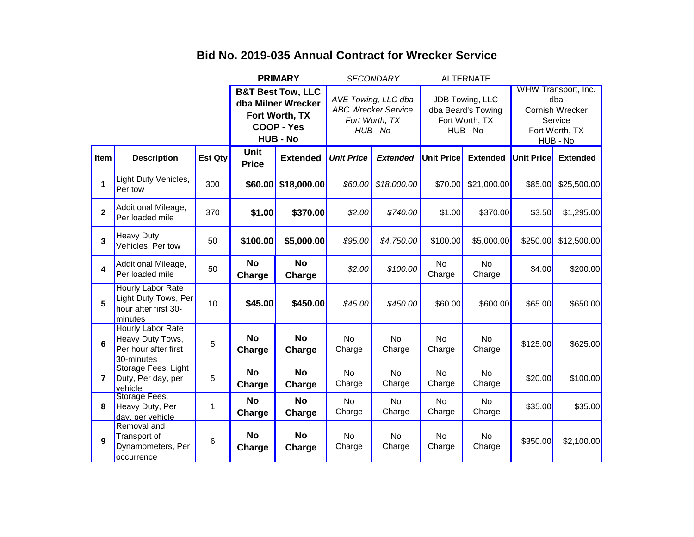|                |                                                                                    |                                                                                                              | <b>PRIMARY</b>              |                                                                                 | <b>SECONDARY</b>    |                                                                     | <b>ALTERNATE</b>    |                                                                                        |                   |                 |
|----------------|------------------------------------------------------------------------------------|--------------------------------------------------------------------------------------------------------------|-----------------------------|---------------------------------------------------------------------------------|---------------------|---------------------------------------------------------------------|---------------------|----------------------------------------------------------------------------------------|-------------------|-----------------|
|                |                                                                                    | <b>B&amp;T Best Tow, LLC</b><br>dba Milner Wrecker<br>Fort Worth, TX<br><b>COOP - Yes</b><br><b>HUB - No</b> |                             | AVE Towing, LLC dba<br><b>ABC Wrecker Service</b><br>Fort Worth, TX<br>HUB - No |                     | JDB Towing, LLC<br>dba Beard's Towing<br>Fort Worth, TX<br>HUB - No |                     | WHW Transport, Inc.<br>dba<br>Cornish Wrecker<br>Service<br>Fort Worth, TX<br>HUB - No |                   |                 |
| Item           | <b>Description</b>                                                                 | <b>Est Qty</b>                                                                                               | <b>Unit</b><br><b>Price</b> | <b>Extended</b>                                                                 | <b>Unit Price</b>   | <b>Extended</b>                                                     | <b>Unit Price</b>   | <b>Extended</b>                                                                        | <b>Unit Price</b> | <b>Extended</b> |
| 1              | Light Duty Vehicles,<br>Per tow                                                    | 300                                                                                                          | \$60.00                     | \$18,000.00                                                                     | \$60.00             | \$18,000.00                                                         | \$70.00             | \$21,000.00                                                                            | \$85.00           | \$25,500.00     |
| $\mathbf{2}$   | Additional Mileage,<br>Per loaded mile                                             | 370                                                                                                          | \$1.00                      | \$370.00                                                                        | \$2.00              | \$740.00                                                            | \$1.00              | \$370.00                                                                               | \$3.50            | \$1,295.00      |
| 3              | <b>Heavy Duty</b><br>Vehicles, Per tow                                             | 50                                                                                                           | \$100.00                    | \$5,000.00                                                                      | \$95.00             | \$4,750.00                                                          | \$100.00            | \$5,000.00                                                                             | \$250.00          | \$12,500.00     |
| 4              | Additional Mileage,<br>Per loaded mile                                             | 50                                                                                                           | <b>No</b><br>Charge         | <b>No</b><br>Charge                                                             | \$2.00              | \$100.00                                                            | No<br>Charge        | <b>No</b><br>Charge                                                                    | \$4.00            | \$200.00        |
| 5              | Hourly Labor Rate<br>Light Duty Tows, Per<br>hour after first 30-<br>minutes       | 10                                                                                                           | \$45.00                     | \$450.00                                                                        | \$45.00             | \$450.00                                                            | \$60.00             | \$600.00                                                                               | \$65.00           | \$650.00        |
| 6              | <b>Hourly Labor Rate</b><br>Heavy Duty Tows,<br>Per hour after first<br>30-minutes | 5                                                                                                            | <b>No</b><br>Charge         | <b>No</b><br>Charge                                                             | <b>No</b><br>Charge | <b>No</b><br>Charge                                                 | <b>No</b><br>Charge | No<br>Charge                                                                           | \$125.00          | \$625.00        |
| $\overline{7}$ | Storage Fees, Light<br>Duty, Per day, per<br>vehicle                               | 5                                                                                                            | <b>No</b><br>Charge         | <b>No</b><br>Charge                                                             | <b>No</b><br>Charge | <b>No</b><br>Charge                                                 | <b>No</b><br>Charge | <b>No</b><br>Charge                                                                    | \$20.00           | \$100.00        |
| 8              | Storage Fees,<br>Heavy Duty, Per<br>day, per vehicle                               | $\mathbf 1$                                                                                                  | <b>No</b><br>Charge         | <b>No</b><br>Charge                                                             | <b>No</b><br>Charge | <b>No</b><br>Charge                                                 | <b>No</b><br>Charge | <b>No</b><br>Charge                                                                    | \$35.00           | \$35.00         |
| 9              | Removal and<br>Transport of<br>Dynamometers, Per<br>occurrence                     | 6                                                                                                            | <b>No</b><br>Charge         | <b>No</b><br>Charge                                                             | <b>No</b><br>Charge | <b>No</b><br>Charge                                                 | <b>No</b><br>Charge | No<br>Charge                                                                           | \$350.00          | \$2,100.00      |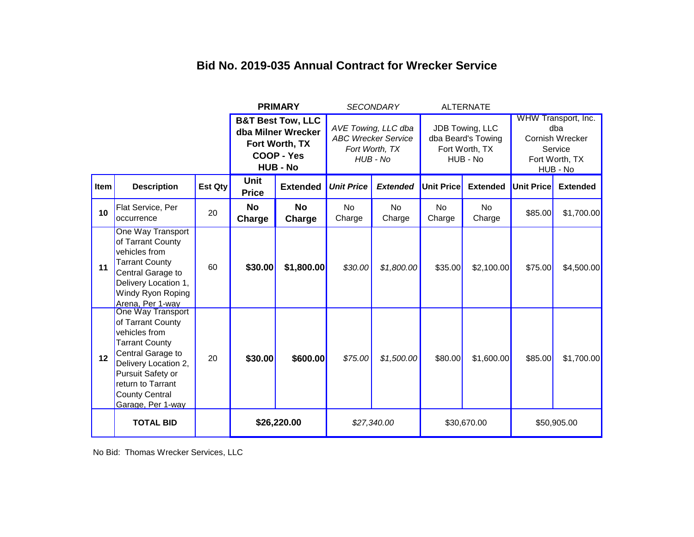|      |                                                                                                                                                                                                                       | <b>PRIMARY</b>                                                                                        |                             | <b>SECONDARY</b>                                                                |                     | <b>ALTERNATE</b>                                                    |                     |                                                                                        |                   |                 |
|------|-----------------------------------------------------------------------------------------------------------------------------------------------------------------------------------------------------------------------|-------------------------------------------------------------------------------------------------------|-----------------------------|---------------------------------------------------------------------------------|---------------------|---------------------------------------------------------------------|---------------------|----------------------------------------------------------------------------------------|-------------------|-----------------|
|      |                                                                                                                                                                                                                       | <b>B&amp;T Best Tow, LLC</b><br>dba Milner Wrecker<br>Fort Worth, TX<br>COOP - Yes<br><b>HUB - No</b> |                             | AVE Towing, LLC dba<br><b>ABC Wrecker Service</b><br>Fort Worth, TX<br>HUB - No |                     | JDB Towing, LLC<br>dba Beard's Towing<br>Fort Worth, TX<br>HUB - No |                     | WHW Transport, Inc.<br>dba<br>Cornish Wrecker<br>Service<br>Fort Worth, TX<br>HUB - No |                   |                 |
| Item | <b>Description</b>                                                                                                                                                                                                    | <b>Est Qty</b>                                                                                        | <b>Unit</b><br><b>Price</b> | <b>Extended</b>                                                                 | <b>Unit Price</b>   | <b>Extended</b>                                                     | <b>Unit Price</b>   | <b>Extended</b>                                                                        | <b>Unit Price</b> | <b>Extended</b> |
| 10   | Flat Service, Per<br>occurrence                                                                                                                                                                                       | 20                                                                                                    | <b>No</b><br>Charge         | <b>No</b><br>Charge                                                             | <b>No</b><br>Charge | <b>No</b><br>Charge                                                 | <b>No</b><br>Charge | No<br>Charge                                                                           | \$85.00           | \$1,700.00      |
| 11   | One Way Transport<br>of Tarrant County<br>vehicles from<br><b>Tarrant County</b><br>Central Garage to<br>Delivery Location 1,<br>Windy Ryon Roping<br>Arena, Per 1-way                                                | 60                                                                                                    | \$30.00                     | \$1,800.00                                                                      | \$30.00             | \$1,800.00                                                          | \$35.00             | \$2,100.00                                                                             | \$75.00           | \$4,500.00      |
| 12   | One Way Transport<br>of Tarrant County<br>vehicles from<br><b>Tarrant County</b><br>Central Garage to<br>Delivery Location 2,<br>Pursuit Safety or<br>return to Tarrant<br><b>County Central</b><br>Garage, Per 1-way | 20                                                                                                    | \$30.00                     | \$600.00                                                                        | \$75.00             | \$1,500.00                                                          | \$80.00             | \$1,600.00                                                                             | \$85.00           | \$1,700.00      |
|      | <b>TOTAL BID</b>                                                                                                                                                                                                      |                                                                                                       | \$26,220.00                 |                                                                                 | \$27,340.00         |                                                                     | \$30,670.00         |                                                                                        | \$50,905.00       |                 |

No Bid: Thomas Wrecker Services, LLC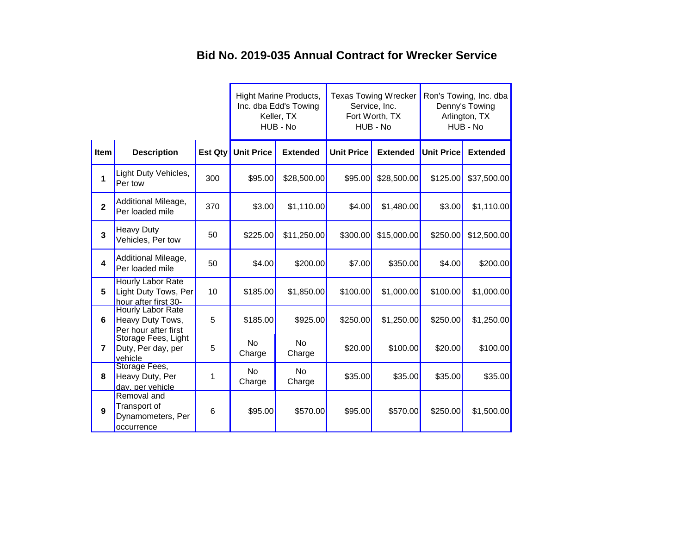|                |                                                                          |                |                     | <b>Hight Marine Products,</b><br>Inc. dba Edd's Towing<br>Keller, TX<br>HUB - No |                   | <b>Texas Towing Wrecker</b><br>Service, Inc.<br>Fort Worth, TX<br>HUB - No | Ron's Towing, Inc. dba<br>Denny's Towing<br>Arlington, TX<br>HUB - No |                 |
|----------------|--------------------------------------------------------------------------|----------------|---------------------|----------------------------------------------------------------------------------|-------------------|----------------------------------------------------------------------------|-----------------------------------------------------------------------|-----------------|
| Item           | <b>Description</b>                                                       | <b>Est Qty</b> | <b>Unit Price</b>   | <b>Extended</b>                                                                  | <b>Unit Price</b> | <b>Extended</b>                                                            | <b>Unit Price</b>                                                     | <b>Extended</b> |
| 1              | Light Duty Vehicles,<br>Per tow                                          | 300            | \$95.00             | \$28,500.00                                                                      | \$95.00           | \$28,500.00                                                                | \$125.00                                                              | \$37,500.00     |
| $\overline{2}$ | Additional Mileage,<br>Per loaded mile                                   | 370            | \$3.00              | \$1,110.00                                                                       | \$4.00            | \$1,480.00                                                                 | \$3.00                                                                | \$1,110.00      |
| 3              | <b>Heavy Duty</b><br>Vehicles, Per tow                                   | 50             | \$225.00            | \$11,250.00                                                                      | \$300.00          | \$15,000.00                                                                | \$250.00                                                              | \$12,500.00     |
| 4              | Additional Mileage,<br>Per loaded mile                                   | 50             | \$4.00              | \$200.00]                                                                        | \$7.00            | \$350.00                                                                   | \$4.00                                                                | \$200.00        |
| 5              | <b>Hourly Labor Rate</b><br>Light Duty Tows, Per<br>hour after first 30- | 10             | \$185.00            | \$1,850.00                                                                       | \$100.00          | \$1,000.00                                                                 | \$100.00                                                              | \$1,000.00      |
| 6              | <b>Hourly Labor Rate</b><br>Heavy Duty Tows,<br>Per hour after first     | 5              | \$185.00            | \$925.00                                                                         | \$250.00          | \$1,250.00                                                                 | \$250.00                                                              | \$1,250.00      |
| $\overline{7}$ | Storage Fees, Light<br>Duty, Per day, per<br>vehicle                     | 5              | <b>No</b><br>Charge | <b>No</b><br>Charge                                                              | \$20.00           | \$100.00]                                                                  | \$20.00                                                               | \$100.00        |
| 8              | Storage Fees,<br>Heavy Duty, Per<br>day, per vehicle                     | 1              | <b>No</b><br>Charge | N <sub>o</sub><br>Charge                                                         | \$35.00           | \$35.00                                                                    | \$35.00                                                               | \$35.00         |
| 9              | Removal and<br>Transport of<br>Dynamometers, Per<br>occurrence           | 6              | \$95.00             | \$570.00                                                                         | \$95.00           | \$570.00                                                                   | \$250.00                                                              | \$1,500.00      |